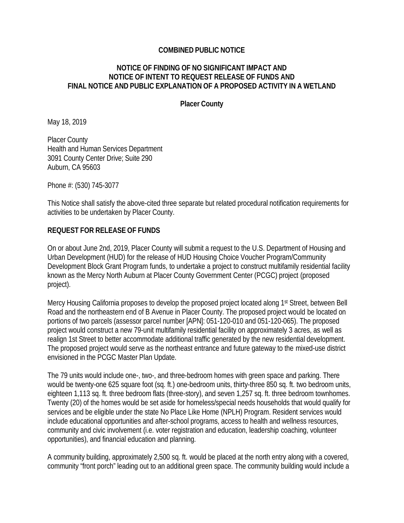#### **COMBINED PUBLIC NOTICE**

#### **NOTICE OF FINDING OF NO SIGNIFICANT IMPACT AND NOTICE OF INTENT TO REQUEST RELEASE OF FUNDS AND FINAL NOTICE AND PUBLIC EXPLANATION OF A PROPOSED ACTIVITY IN A WETLAND**

**Placer County**

May 18, 2019

Placer County Health and Human Services Department 3091 County Center Drive; Suite 290 Auburn, CA 95603

Phone #: (530) 745-3077

This Notice shall satisfy the above-cited three separate but related procedural notification requirements for activities to be undertaken by Placer County.

#### **REQUEST FOR RELEASE OF FUNDS**

On or about June 2nd, 2019, Placer County will submit a request to the U.S. Department of Housing and Urban Development (HUD) for the release of HUD Housing Choice Voucher Program/Community Development Block Grant Program funds, to undertake a project to construct multifamily residential facility known as the Mercy North Auburn at Placer County Government Center (PCGC) project (proposed project).

Mercy Housing California proposes to develop the proposed project located along 1st Street, between Bell Road and the northeastern end of B Avenue in Placer County. The proposed project would be located on portions of two parcels (assessor parcel number [APN]: 051-120-010 and 051-120-065). The proposed project would construct a new 79-unit multifamily residential facility on approximately 3 acres, as well as realign 1st Street to better accommodate additional traffic generated by the new residential development. The proposed project would serve as the northeast entrance and future gateway to the mixed-use district envisioned in the PCGC Master Plan Update.

The 79 units would include one-, two-, and three-bedroom homes with green space and parking. There would be twenty-one 625 square foot (sq. ft.) one-bedroom units, thirty-three 850 sq. ft. two bedroom units, eighteen 1,113 sq. ft. three bedroom flats (three-story), and seven 1,257 sq. ft. three bedroom townhomes. Twenty (20) of the homes would be set aside for homeless/special needs households that would qualify for services and be eligible under the state No Place Like Home (NPLH) Program. Resident services would include educational opportunities and after-school programs, access to health and wellness resources, community and civic involvement (i.e. voter registration and education, leadership coaching, volunteer opportunities), and financial education and planning.

A community building, approximately 2,500 sq. ft. would be placed at the north entry along with a covered, community "front porch" leading out to an additional green space. The community building would include a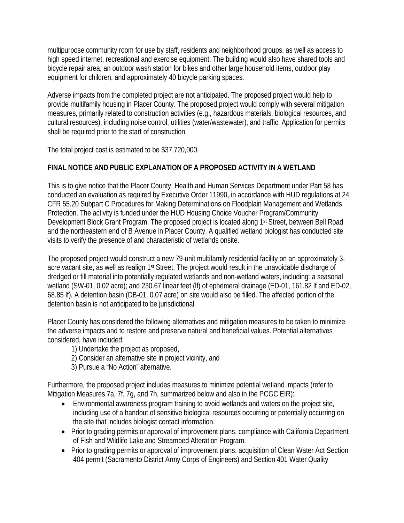multipurpose community room for use by staff, residents and neighborhood groups, as well as access to high speed internet, recreational and exercise equipment. The building would also have shared tools and bicycle repair area, an outdoor wash station for bikes and other large household items, outdoor play equipment for children, and approximately 40 bicycle parking spaces.

Adverse impacts from the completed project are not anticipated. The proposed project would help to provide multifamily housing in Placer County. The proposed project would comply with several mitigation measures, primarily related to construction activities (e.g., hazardous materials, biological resources, and cultural resources), including noise control, utilities (water/wastewater), and traffic. Application for permits shall be required prior to the start of construction.

The total project cost is estimated to be \$37,720,000.

# **FINAL NOTICE AND PUBLIC EXPLANATION OF A PROPOSED ACTIVITY IN A WETLAND**

This is to give notice that the Placer County, Health and Human Services Department under Part 58 has conducted an evaluation as required by Executive Order 11990, in accordance with HUD regulations at 24 CFR 55.20 Subpart C Procedures for Making Determinations on Floodplain Management and Wetlands Protection. The activity is funded under the HUD Housing Choice Voucher Program/Community Development Block Grant Program. The proposed project is located along 1<sup>st</sup> Street, between Bell Road and the northeastern end of B Avenue in Placer County. A qualified wetland biologist has conducted site visits to verify the presence of and characteristic of wetlands onsite.

The proposed project would construct a new 79-unit multifamily residential facility on an approximately 3 acre vacant site, as well as realign 1st Street. The project would result in the unavoidable discharge of dredged or fill material into potentially regulated wetlands and non-wetland waters, including: a seasonal wetland (SW-01, 0.02 acre); and 230.67 linear feet (If) of ephemeral drainage (ED-01, 161.82 lf and ED-02, 68.85 lf). A detention basin (DB-01, 0.07 acre) on site would also be filled. The affected portion of the detention basin is not anticipated to be jurisdictional.

Placer County has considered the following alternatives and mitigation measures to be taken to minimize the adverse impacts and to restore and preserve natural and beneficial values. Potential alternatives considered, have included:

1) Undertake the project as proposed,

- 2) Consider an alternative site in project vicinity, and
- 3) Pursue a "No Action" alternative.

Furthermore, the proposed project includes measures to minimize potential wetland impacts (refer to Mitigation Measures 7a, 7f, 7g, and 7h, summarized below and also in the PCGC EIR):

- Environmental awareness program training to avoid wetlands and waters on the project site, including use of a handout of sensitive biological resources occurring or potentially occurring on the site that includes biologist contact information.
- Prior to grading permits or approval of improvement plans, compliance with California Department of Fish and Wildlife Lake and Streambed Alteration Program.
- Prior to grading permits or approval of improvement plans, acquisition of Clean Water Act Section 404 permit (Sacramento District Army Corps of Engineers) and Section 401 Water Quality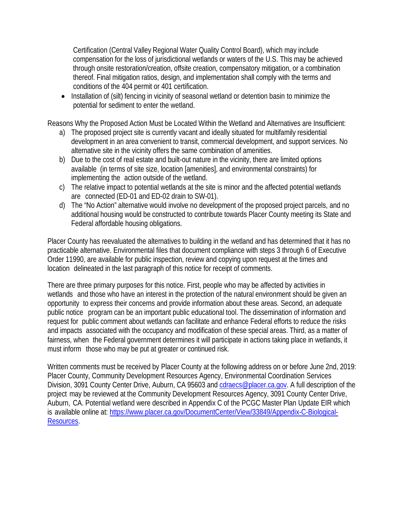Certification (Central Valley Regional Water Quality Control Board), which may include compensation for the loss of jurisdictional wetlands or waters of the U.S. This may be achieved through onsite restoration/creation, offsite creation, compensatory mitigation, or a combination thereof. Final mitigation ratios, design, and implementation shall comply with the terms and conditions of the 404 permit or 401 certification.

• Installation of (silt) fencing in vicinity of seasonal wetland or detention basin to minimize the potential for sediment to enter the wetland.

Reasons Why the Proposed Action Must be Located Within the Wetland and Alternatives are Insufficient:

- a) The proposed project site is currently vacant and ideally situated for multifamily residential development in an area convenient to transit, commercial development, and support services. No alternative site in the vicinity offers the same combination of amenities.
- b) Due to the cost of real estate and built-out nature in the vicinity, there are limited options available (in terms of site size, location [amenities], and environmental constraints) for implementing the action outside of the wetland.
- c) The relative impact to potential wetlands at the site is minor and the affected potential wetlands are connected (ED-01 and ED-02 drain to SW-01).
- d) The "No Action" alternative would involve no development of the proposed project parcels, and no additional housing would be constructed to contribute towards Placer County meeting its State and Federal affordable housing obligations.

Placer County has reevaluated the alternatives to building in the wetland and has determined that it has no practicable alternative. Environmental files that document compliance with steps 3 through 6 of Executive Order 11990, are available for public inspection, review and copying upon request at the times and location delineated in the last paragraph of this notice for receipt of comments.

There are three primary purposes for this notice. First, people who may be affected by activities in wetlands and those who have an interest in the protection of the natural environment should be given an opportunity to express their concerns and provide information about these areas. Second, an adequate public notice program can be an important public educational tool. The dissemination of information and request for public comment about wetlands can facilitate and enhance Federal efforts to reduce the risks and impacts associated with the occupancy and modification of these special areas. Third, as a matter of fairness, when the Federal government determines it will participate in actions taking place in wetlands, it must inform those who may be put at greater or continued risk.

Written comments must be received by Placer County at the following address on or before June 2nd, 2019: Placer County, Community Development Resources Agency, Environmental Coordination Services Division, 3091 County Center Drive, Auburn, CA 95603 and [cdraecs@placer.ca.gov. A](mailto:cdraecs@placer.ca.gov) full description of the project may be reviewed at the Community Development Resources Agency, 3091 County Center Drive, Auburn, CA. Potential wetland were described in Appendix C of the PCGC Master Plan Update EIR which is available online at: [https://www.placer.ca.gov/DocumentCenter/View/33849/Appendix-C-Biological-](https://www.placer.ca.gov/DocumentCenter/View/33849/Appendix-C-Biological-Resources)[Resources.](https://www.placer.ca.gov/DocumentCenter/View/33849/Appendix-C-Biological-Resources)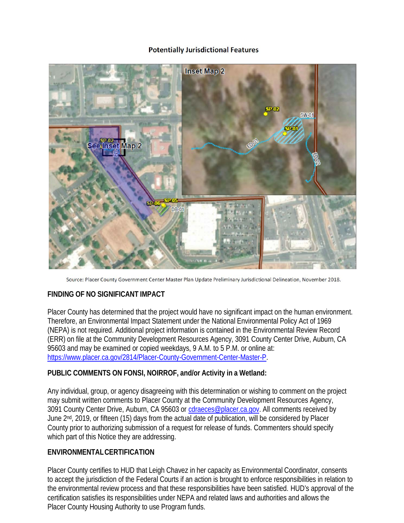#### **Potentially Jurisdictional Features**



Source: Placer County Government Center Master Plan Update Preliminary Jurisdictional Delineation, November 2018.

## **FINDING OF NO SIGNIFICANT IMPACT**

Placer County has determined that the project would have no significant impact on the human environment. Therefore, an Environmental Impact Statement under the National Environmental Policy Act of 1969 (NEPA) is not required. Additional project information is contained in the Environmental Review Record (ERR) on file at the Community Development Resources Agency, 3091 County Center Drive, Auburn, CA 95603 and may be examined or copied weekdays, 9 A.M. to 5 P.M. or online at: [https://www.placer.ca.gov/2814/Placer-County-Government-Center-Master-P.](https://nam01.safelinks.protection.outlook.com/?url=https%3A%2F%2Fwww.placer.ca.gov%2F2814%2FPlacer-County-Government-Center-Master-P&data=02%7C01%7Ccfukasawa%40dudek.com%7C384fe00d368746a8054308d6d97412b9%7C82b8a27d5b4c4dbeba360ee75edffcac%7C1%7C0%7C636935489893872854&sdata=4B5DqdbOSHuOT%2F%2BEHflHoXVZNlcWCPIGUnt4Jp2c8NU%3D&reserved=0)

## **PUBLIC COMMENTS ON FONSI, NOIRROF, and/or Activity in a Wetland:**

Any individual, group, or agency disagreeing with this determination or wishing to comment on the project may submit written comments to Placer County at the Community Development Resources Agency, 3091 County Center Drive, Auburn, CA 95603 or [cdraeces@placer.ca.gov.](mailto:cdraeces@placer.ca.gov) All comments received by June 2<sup>nd</sup>, 2019, or fifteen (15) days from the actual date of publication, will be considered by Placer County prior to authorizing submission of a request for release of funds. Commenters should specify which part of this Notice they are addressing.

## **ENVIRONMENTALCERTIFICATION**

Placer County certifies to HUD that Leigh Chavez in her capacity as Environmental Coordinator, consents to accept the jurisdiction of the Federal Courts if an action is brought to enforce responsibilities in relation to the environmental review process and that these responsibilities have been satisfied. HUD's approval of the certification satisfies its responsibilities under NEPA and related laws and authorities and allows the Placer County Housing Authority to use Program funds.